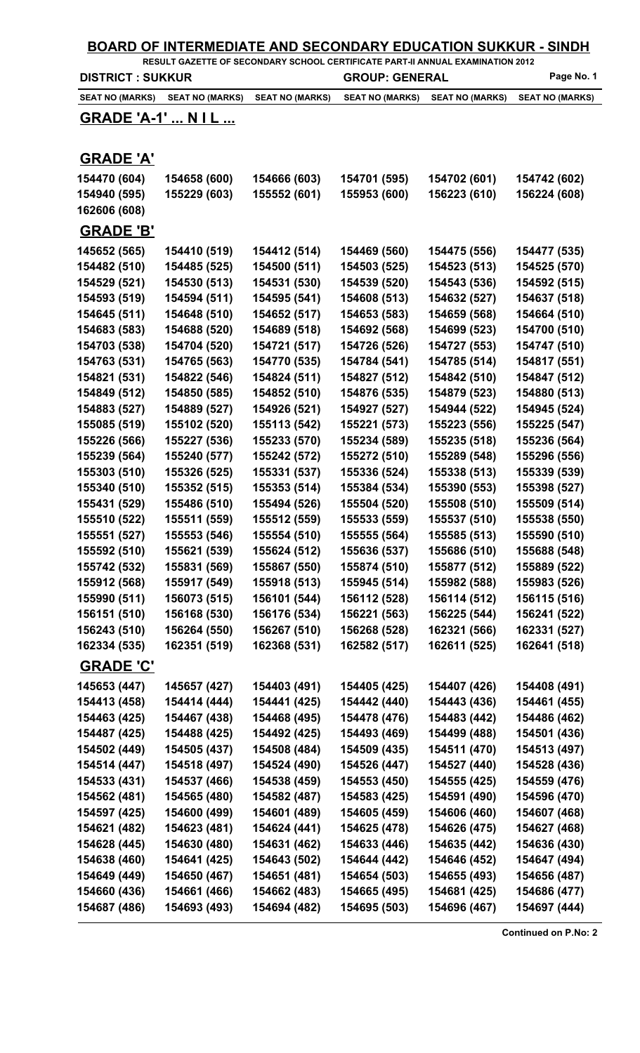| <b>BOARD OF INTERMEDIATE AND SECONDARY EDUCATION SUKKUR - SINDH</b><br>RESULT GAZETTE OF SECONDARY SCHOOL CERTIFICATE PART-II ANNUAL EXAMINATION 2012 |                              |                              |                              |                              |                              |  |
|-------------------------------------------------------------------------------------------------------------------------------------------------------|------------------------------|------------------------------|------------------------------|------------------------------|------------------------------|--|
| <b>DISTRICT: SUKKUR</b>                                                                                                                               |                              |                              | <b>GROUP: GENERAL</b>        |                              | Page No. 1                   |  |
| <b>SEAT NO (MARKS)</b>                                                                                                                                | <b>SEAT NO (MARKS)</b>       | <b>SEAT NO (MARKS)</b>       | <b>SEAT NO (MARKS)</b>       | <b>SEAT NO (MARKS)</b>       | <b>SEAT NO (MARKS)</b>       |  |
| <b>GRADE 'A-1'  NIL </b>                                                                                                                              |                              |                              |                              |                              |                              |  |
|                                                                                                                                                       |                              |                              |                              |                              |                              |  |
| <b>GRADE 'A'</b>                                                                                                                                      |                              |                              |                              |                              |                              |  |
| 154470 (604)                                                                                                                                          | 154658 (600)                 | 154666 (603)                 | 154701 (595)                 | 154702 (601)                 | 154742 (602)                 |  |
| 154940 (595)                                                                                                                                          | 155229 (603)                 | 155552 (601)                 | 155953 (600)                 | 156223 (610)                 | 156224 (608)                 |  |
| 162606 (608)                                                                                                                                          |                              |                              |                              |                              |                              |  |
| <b>GRADE 'B'</b>                                                                                                                                      |                              |                              |                              |                              |                              |  |
| 145652 (565)                                                                                                                                          | 154410 (519)                 | 154412 (514)                 | 154469 (560)                 | 154475 (556)                 | 154477 (535)                 |  |
| 154482 (510)                                                                                                                                          | 154485 (525)                 | 154500 (511)                 | 154503 (525)                 | 154523 (513)                 | 154525 (570)                 |  |
| 154529 (521)                                                                                                                                          | 154530 (513)                 | 154531 (530)                 | 154539 (520)                 | 154543 (536)                 | 154592 (515)                 |  |
| 154593 (519)                                                                                                                                          | 154594 (511)                 | 154595 (541)                 | 154608 (513)                 | 154632 (527)                 | 154637 (518)                 |  |
| 154645 (511)                                                                                                                                          | 154648 (510)                 | 154652 (517)                 | 154653 (583)                 | 154659 (568)                 | 154664 (510)                 |  |
| 154683 (583)                                                                                                                                          | 154688 (520)                 | 154689 (518)                 | 154692 (568)                 | 154699 (523)                 | 154700 (510)                 |  |
| 154703 (538)                                                                                                                                          | 154704 (520)                 | 154721 (517)                 | 154726 (526)                 | 154727 (553)                 | 154747 (510)                 |  |
| 154763 (531)                                                                                                                                          | 154765 (563)                 | 154770 (535)                 | 154784 (541)                 | 154785 (514)                 | 154817 (551)                 |  |
| 154821 (531)                                                                                                                                          | 154822 (546)                 | 154824 (511)                 | 154827 (512)                 | 154842 (510)                 | 154847 (512)                 |  |
| 154849 (512)                                                                                                                                          | 154850 (585)                 | 154852 (510)                 | 154876 (535)                 | 154879 (523)                 | 154880 (513)                 |  |
| 154883 (527)                                                                                                                                          | 154889 (527)                 | 154926 (521)                 | 154927 (527)                 | 154944 (522)                 | 154945 (524)                 |  |
| 155085 (519)                                                                                                                                          | 155102 (520)                 | 155113 (542)                 | 155221 (573)                 | 155223 (556)                 | 155225 (547)                 |  |
| 155226 (566)                                                                                                                                          | 155227 (536)                 | 155233 (570)                 | 155234 (589)                 | 155235 (518)                 | 155236 (564)                 |  |
| 155239 (564)<br>155303 (510)                                                                                                                          | 155240 (577)<br>155326 (525) | 155242 (572)<br>155331 (537) | 155272 (510)<br>155336 (524) | 155289 (548)<br>155338 (513) | 155296 (556)<br>155339 (539) |  |
| 155340 (510)                                                                                                                                          | 155352 (515)                 | 155353 (514)                 | 155384 (534)                 | 155390 (553)                 | 155398 (527)                 |  |
| 155431 (529)                                                                                                                                          | 155486 (510)                 | 155494 (526)                 | 155504 (520)                 | 155508 (510)                 | 155509 (514)                 |  |
| 155510 (522)                                                                                                                                          | 155511 (559)                 | 155512 (559)                 | 155533 (559)                 | 155537 (510)                 | 155538 (550)                 |  |
| 155551 (527)                                                                                                                                          | 155553 (546)                 | 155554 (510)                 | 155555 (564)                 | 155585 (513)                 | 155590 (510)                 |  |
| 155592 (510)                                                                                                                                          | 155621 (539)                 | 155624 (512)                 | 155636 (537)                 | 155686 (510)                 | 155688 (548)                 |  |
| 155742 (532)                                                                                                                                          | 155831 (569)                 | 155867 (550)                 | 155874 (510)                 | 155877 (512)                 | 155889 (522)                 |  |
| 155912 (568)                                                                                                                                          | 155917 (549)                 | 155918 (513)                 | 155945 (514)                 | 155982 (588)                 | 155983 (526)                 |  |
| 155990 (511)                                                                                                                                          | 156073 (515)                 | 156101 (544)                 | 156112 (528)                 | 156114 (512)                 | 156115 (516)                 |  |
| 156151 (510)                                                                                                                                          | 156168 (530)                 | 156176 (534)                 | 156221 (563)                 | 156225 (544)                 | 156241 (522)                 |  |
| 156243 (510)                                                                                                                                          | 156264 (550)                 | 156267 (510)                 | 156268 (528)                 | 162321 (566)                 | 162331 (527)                 |  |
| 162334 (535)                                                                                                                                          | 162351 (519)                 | 162368 (531)                 | 162582 (517)                 | 162611 (525)                 | 162641 (518)                 |  |
| <b>GRADE 'C'</b>                                                                                                                                      |                              |                              |                              |                              |                              |  |
| 145653 (447)                                                                                                                                          | 145657 (427)                 | 154403 (491)                 | 154405 (425)                 | 154407 (426)                 | 154408 (491)                 |  |
| 154413 (458)                                                                                                                                          | 154414 (444)                 | 154441 (425)                 | 154442 (440)                 | 154443 (436)                 | 154461 (455)                 |  |
| 154463 (425)                                                                                                                                          | 154467 (438)                 | 154468 (495)                 | 154478 (476)                 | 154483 (442)                 | 154486 (462)                 |  |
| 154487 (425)                                                                                                                                          | 154488 (425)                 | 154492 (425)                 | 154493 (469)                 | 154499 (488)                 | 154501 (436)                 |  |
| 154502 (449)                                                                                                                                          | 154505 (437)                 | 154508 (484)                 | 154509 (435)                 | 154511 (470)                 | 154513 (497)                 |  |
| 154514 (447)                                                                                                                                          | 154518 (497)                 | 154524 (490)                 | 154526 (447)                 | 154527 (440)                 | 154528 (436)                 |  |
| 154533 (431)                                                                                                                                          | 154537 (466)                 | 154538 (459)                 | 154553 (450)                 | 154555 (425)                 | 154559 (476)                 |  |
| 154562 (481)                                                                                                                                          | 154565 (480)                 | 154582 (487)                 | 154583 (425)                 | 154591 (490)                 | 154596 (470)                 |  |
| 154597 (425)                                                                                                                                          | 154600 (499)                 | 154601 (489)                 | 154605 (459)                 | 154606 (460)                 | 154607 (468)                 |  |
| 154621 (482)                                                                                                                                          | 154623 (481)                 | 154624 (441)                 | 154625 (478)                 | 154626 (475)                 | 154627 (468)                 |  |
| 154628 (445)                                                                                                                                          | 154630 (480)                 | 154631 (462)                 | 154633 (446)                 | 154635 (442)                 | 154636 (430)                 |  |
| 154638 (460)                                                                                                                                          | 154641 (425)                 | 154643 (502)                 | 154644 (442)                 | 154646 (452)                 | 154647 (494)                 |  |
| 154649 (449)                                                                                                                                          | 154650 (467)                 | 154651 (481)                 | 154654 (503)                 | 154655 (493)                 | 154656 (487)                 |  |
| 154660 (436)                                                                                                                                          | 154661 (466)                 | 154662 (483)                 | 154665 (495)                 | 154681 (425)                 | 154686 (477)                 |  |
| 154687 (486)                                                                                                                                          | 154693 (493)                 | 154694 (482)                 | 154695 (503)                 | 154696 (467)                 | 154697 (444)                 |  |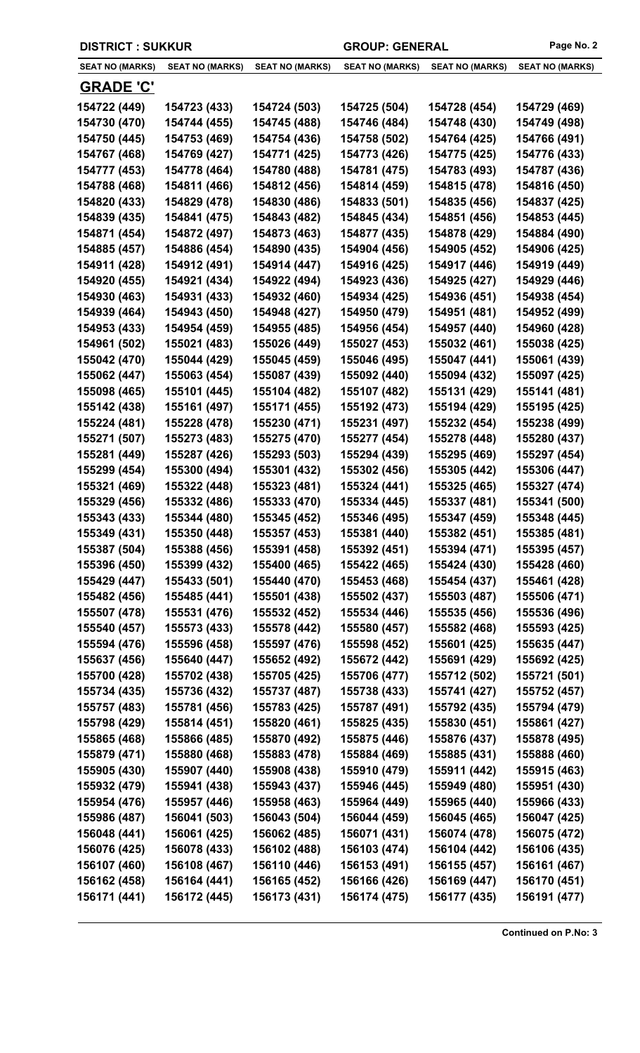| <b>DISTRICT : SUKKUR</b>     |                              |                              | Page No. 2<br><b>GROUP: GENERAL</b> |                              |                              |
|------------------------------|------------------------------|------------------------------|-------------------------------------|------------------------------|------------------------------|
| <b>SEAT NO (MARKS)</b>       | <b>SEAT NO (MARKS)</b>       | <b>SEAT NO (MARKS)</b>       | <b>SEAT NO (MARKS)</b>              | <b>SEAT NO (MARKS)</b>       | <b>SEAT NO (MARKS)</b>       |
| <u>GRADE 'C'</u>             |                              |                              |                                     |                              |                              |
| 154722 (449)                 | 154723 (433)                 | 154724 (503)                 | 154725 (504)                        | 154728 (454)                 | 154729 (469)                 |
| 154730 (470)                 | 154744 (455)                 | 154745 (488)                 | 154746 (484)                        | 154748 (430)                 | 154749 (498)                 |
| 154750 (445)                 | 154753 (469)                 | 154754 (436)                 | 154758 (502)                        | 154764 (425)                 | 154766 (491)                 |
| 154767 (468)                 | 154769 (427)                 | 154771 (425)                 | 154773 (426)                        | 154775 (425)                 | 154776 (433)                 |
| 154777 (453)                 | 154778 (464)                 | 154780 (488)                 | 154781 (475)                        | 154783 (493)                 | 154787 (436)                 |
| 154788 (468)                 | 154811 (466)                 | 154812 (456)                 | 154814 (459)                        | 154815 (478)                 | 154816 (450)                 |
| 154820 (433)                 | 154829 (478)                 | 154830 (486)                 | 154833 (501)                        | 154835 (456)                 | 154837 (425)                 |
| 154839 (435)                 | 154841 (475)                 | 154843 (482)                 | 154845 (434)                        | 154851 (456)                 | 154853 (445)                 |
| 154871 (454)                 | 154872 (497)                 | 154873 (463)                 | 154877 (435)                        | 154878 (429)                 | 154884 (490)                 |
| 154885 (457)                 | 154886 (454)                 | 154890 (435)                 | 154904 (456)                        | 154905 (452)                 | 154906 (425)                 |
| 154911 (428)                 | 154912 (491)                 | 154914 (447)                 | 154916 (425)                        | 154917 (446)                 | 154919 (449)                 |
| 154920 (455)                 | 154921 (434)                 | 154922 (494)                 | 154923 (436)                        | 154925 (427)                 | 154929 (446)                 |
| 154930 (463)                 | 154931 (433)                 | 154932 (460)                 | 154934 (425)                        | 154936 (451)                 | 154938 (454)                 |
| 154939 (464)                 | 154943 (450)                 | 154948 (427)                 | 154950 (479)                        | 154951 (481)                 | 154952 (499)                 |
| 154953 (433)                 | 154954 (459)                 | 154955 (485)                 | 154956 (454)                        | 154957 (440)                 | 154960 (428)                 |
| 154961 (502)                 | 155021 (483)                 | 155026 (449)                 | 155027 (453)                        | 155032 (461)                 | 155038 (425)                 |
| 155042 (470)                 | 155044 (429)                 | 155045 (459)                 | 155046 (495)                        | 155047 (441)                 | 155061 (439)                 |
| 155062 (447)                 | 155063 (454)                 | 155087 (439)                 | 155092 (440)                        | 155094 (432)                 | 155097 (425)                 |
| 155098 (465)                 | 155101 (445)                 | 155104 (482)                 | 155107 (482)                        | 155131 (429)                 | 155141 (481)                 |
| 155142 (438)                 | 155161 (497)                 | 155171 (455)                 | 155192 (473)                        | 155194 (429)                 | 155195 (425)                 |
| 155224 (481)                 | 155228 (478)                 | 155230 (471)                 | 155231 (497)                        | 155232 (454)                 | 155238 (499)                 |
| 155271 (507)                 | 155273 (483)                 | 155275 (470)                 | 155277 (454)                        | 155278 (448)                 | 155280 (437)                 |
| 155281 (449)                 | 155287 (426)                 | 155293 (503)                 | 155294 (439)                        | 155295 (469)                 | 155297 (454)                 |
| 155299 (454)                 | 155300 (494)                 | 155301 (432)                 | 155302 (456)                        | 155305 (442)                 | 155306 (447)                 |
| 155321 (469)                 | 155322 (448)                 | 155323 (481)                 | 155324 (441)                        | 155325 (465)                 | 155327 (474)                 |
| 155329 (456)                 | 155332 (486)                 | 155333 (470)                 | 155334 (445)                        | 155337 (481)                 | 155341 (500)                 |
| 155343 (433)                 | 155344 (480)                 | 155345 (452)                 | 155346 (495)                        | 155347 (459)                 | 155348 (445)                 |
| 155349 (431)                 | 155350 (448)                 | 155357 (453)                 | 155381 (440)                        | 155382 (451)                 | 155385 (481)                 |
| 155387 (504)                 | 155388 (456)                 | 155391 (458)                 | 155392 (451)                        | 155394 (471)                 | 155395 (457)                 |
| 155396 (450)                 | 155399 (432)                 | 155400 (465)                 | 155422 (465)                        | 155424 (430)                 | 155428 (460)                 |
| 155429 (447)                 | 155433 (501)                 | 155440 (470)                 | 155453 (468)                        | 155454 (437)                 | 155461 (428)                 |
| 155482 (456)                 | 155485 (441)                 | 155501 (438)                 | 155502 (437)                        | 155503 (487)                 | 155506 (471)                 |
| 155507 (478)                 | 155531 (476)                 | 155532 (452)                 | 155534 (446)                        | 155535 (456)                 | 155536 (496)                 |
| 155540 (457)                 | 155573 (433)                 | 155578 (442)                 | 155580 (457)                        | 155582 (468)                 | 155593 (425)                 |
| 155594 (476)                 | 155596 (458)                 | 155597 (476)                 | 155598 (452)                        | 155601 (425)                 | 155635 (447)                 |
| 155637 (456)                 | 155640 (447)                 | 155652 (492)                 | 155672 (442)                        | 155691 (429)                 | 155692 (425)                 |
| 155700 (428)                 | 155702 (438)                 | 155705 (425)                 | 155706 (477)                        | 155712 (502)                 | 155721 (501)                 |
| 155734 (435)                 | 155736 (432)                 | 155737 (487)                 | 155738 (433)                        | 155741 (427)                 | 155752 (457)                 |
| 155757 (483)                 | 155781 (456)                 | 155783 (425)                 | 155787 (491)                        | 155792 (435)                 | 155794 (479)                 |
| 155798 (429)                 | 155814 (451)                 | 155820 (461)                 | 155825 (435)                        | 155830 (451)                 | 155861 (427)                 |
| 155865 (468)                 | 155866 (485)                 | 155870 (492)                 | 155875 (446)                        | 155876 (437)                 | 155878 (495)                 |
| 155879 (471)                 | 155880 (468)                 | 155883 (478)                 | 155884 (469)                        | 155885 (431)                 | 155888 (460)                 |
| 155905 (430)                 | 155907 (440)                 | 155908 (438)                 | 155910 (479)                        | 155911 (442)                 | 155915 (463)                 |
| 155932 (479)                 | 155941 (438)                 | 155943 (437)                 | 155946 (445)                        | 155949 (480)                 | 155951 (430)                 |
| 155954 (476)                 | 155957 (446)                 | 155958 (463)                 | 155964 (449)                        | 155965 (440)                 | 155966 (433)                 |
| 155986 (487)<br>156048 (441) | 156041 (503)<br>156061 (425) | 156043 (504)<br>156062 (485) | 156044 (459)<br>156071 (431)        | 156045 (465)<br>156074 (478) | 156047 (425)<br>156075 (472) |
| 156076 (425)                 | 156078 (433)                 | 156102 (488)                 | 156103 (474)                        | 156104 (442)                 | 156106 (435)                 |
| 156107 (460)                 | 156108 (467)                 | 156110 (446)                 | 156153 (491)                        | 156155 (457)                 | 156161 (467)                 |
| 156162 (458)                 | 156164 (441)                 | 156165 (452)                 | 156166 (426)                        | 156169 (447)                 | 156170 (451)                 |
| 156171 (441)                 | 156172 (445)                 | 156173 (431)                 | 156174 (475)                        | 156177 (435)                 | 156191 (477)                 |
|                              |                              |                              |                                     |                              |                              |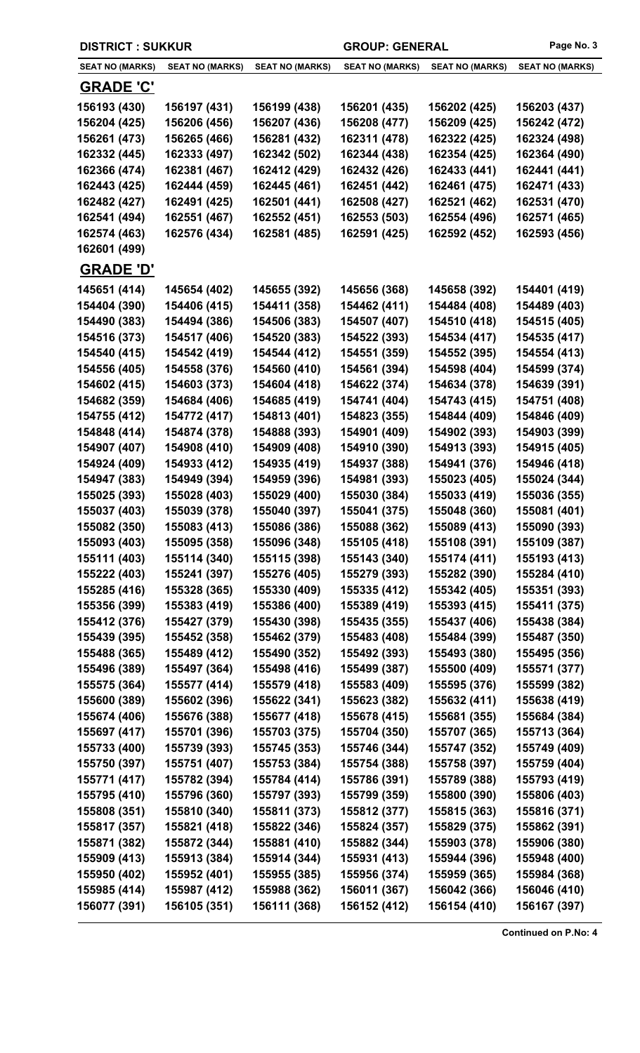| <b>DISTRICT : SUKKUR</b> |                        |                        | Page No. 3<br><b>GROUP: GENERAL</b> |                        |                        |
|--------------------------|------------------------|------------------------|-------------------------------------|------------------------|------------------------|
| <b>SEAT NO (MARKS)</b>   | <b>SEAT NO (MARKS)</b> | <b>SEAT NO (MARKS)</b> | <b>SEAT NO (MARKS)</b>              | <b>SEAT NO (MARKS)</b> | <b>SEAT NO (MARKS)</b> |
| <u>GRADE 'C'</u>         |                        |                        |                                     |                        |                        |
| 156193 (430)             | 156197 (431)           | 156199 (438)           | 156201 (435)                        | 156202 (425)           | 156203 (437)           |
| 156204 (425)             | 156206 (456)           | 156207 (436)           | 156208 (477)                        | 156209 (425)           | 156242 (472)           |
| 156261 (473)             | 156265 (466)           | 156281 (432)           | 162311 (478)                        | 162322 (425)           | 162324 (498)           |
| 162332 (445)             | 162333 (497)           | 162342 (502)           | 162344 (438)                        | 162354 (425)           | 162364 (490)           |
| 162366 (474)             | 162381 (467)           | 162412 (429)           | 162432 (426)                        | 162433 (441)           | 162441 (441)           |
| 162443 (425)             | 162444 (459)           | 162445 (461)           | 162451 (442)                        | 162461 (475)           | 162471 (433)           |
| 162482 (427)             | 162491 (425)           | 162501 (441)           | 162508 (427)                        | 162521 (462)           | 162531 (470)           |
| 162541 (494)             | 162551 (467)           | 162552 (451)           | 162553 (503)                        | 162554 (496)           | 162571 (465)           |
| 162574 (463)             | 162576 (434)           | 162581 (485)           | 162591 (425)                        | 162592 (452)           | 162593 (456)           |
| 162601 (499)             |                        |                        |                                     |                        |                        |
| <u>GRADE 'D'</u>         |                        |                        |                                     |                        |                        |
| 145651 (414)             | 145654 (402)           | 145655 (392)           | 145656 (368)                        | 145658 (392)           | 154401 (419)           |
| 154404 (390)             | 154406 (415)           | 154411 (358)           | 154462 (411)                        | 154484 (408)           | 154489 (403)           |
| 154490 (383)             | 154494 (386)           | 154506 (383)           | 154507 (407)                        | 154510 (418)           | 154515 (405)           |
| 154516 (373)             | 154517 (406)           | 154520 (383)           | 154522 (393)                        | 154534 (417)           | 154535 (417)           |
| 154540 (415)             | 154542 (419)           | 154544 (412)           | 154551 (359)                        | 154552 (395)           | 154554 (413)           |
| 154556 (405)             | 154558 (376)           | 154560 (410)           | 154561 (394)                        | 154598 (404)           | 154599 (374)           |
| 154602 (415)             | 154603 (373)           | 154604 (418)           | 154622 (374)                        | 154634 (378)           | 154639 (391)           |
| 154682 (359)             | 154684 (406)           | 154685 (419)           | 154741 (404)                        | 154743 (415)           | 154751 (408)           |
| 154755 (412)             | 154772 (417)           | 154813 (401)           | 154823 (355)                        | 154844 (409)           | 154846 (409)           |
| 154848 (414)             | 154874 (378)           | 154888 (393)           | 154901 (409)                        | 154902 (393)           | 154903 (399)           |
| 154907 (407)             | 154908 (410)           | 154909 (408)           | 154910 (390)                        | 154913 (393)           | 154915 (405)           |
| 154924 (409)             | 154933 (412)           | 154935 (419)           | 154937 (388)                        | 154941 (376)           | 154946 (418)           |
| 154947 (383)             | 154949 (394)           | 154959 (396)           | 154981 (393)                        | 155023 (405)           | 155024 (344)           |
| 155025 (393)             | 155028 (403)           | 155029 (400)           | 155030 (384)                        | 155033 (419)           | 155036 (355)           |
| 155037 (403)             | 155039 (378)           | 155040 (397)           | 155041 (375)                        | 155048 (360)           | 155081 (401)           |
| 155082 (350)             | 155083 (413)           | 155086 (386)           | 155088 (362)                        | 155089 (413)           | 155090 (393)           |
| 155093 (403)             | 155095 (358)           | 155096 (348)           | 155105 (418)                        | 155108 (391)           | 155109 (387)           |
| 155111 (403)             | 155114 (340)           | 155115 (398)           | 155143 (340)                        | 155174 (411)           | 155193 (413)           |
| 155222 (403)             | 155241 (397)           | 155276 (405)           | 155279 (393)                        | 155282 (390)           | 155284 (410)           |
| 155285 (416)             | 155328 (365)           | 155330 (409)           | 155335 (412)                        | 155342 (405)           | 155351 (393)           |
| 155356 (399)             | 155383 (419)           | 155386 (400)           | 155389 (419)                        | 155393 (415)           | 155411 (375)           |
| 155412 (376)             | 155427 (379)           | 155430 (398)           | 155435 (355)                        | 155437 (406)           | 155438 (384)           |
| 155439 (395)             | 155452 (358)           | 155462 (379)           | 155483 (408)                        | 155484 (399)           | 155487 (350)           |
| 155488 (365)             | 155489 (412)           | 155490 (352)           | 155492 (393)                        | 155493 (380)           | 155495 (356)           |
| 155496 (389)             | 155497 (364)           | 155498 (416)           | 155499 (387)                        | 155500 (409)           | 155571 (377)           |
| 155575 (364)             | 155577 (414)           | 155579 (418)           | 155583 (409)                        | 155595 (376)           | 155599 (382)           |
| 155600 (389)             | 155602 (396)           | 155622 (341)           | 155623 (382)                        | 155632 (411)           | 155638 (419)           |
| 155674 (406)             | 155676 (388)           | 155677 (418)           | 155678 (415)                        | 155681 (355)           | 155684 (384)           |
| 155697 (417)             | 155701 (396)           | 155703 (375)           | 155704 (350)                        | 155707 (365)           | 155713 (364)           |
| 155733 (400)             | 155739 (393)           | 155745 (353)           | 155746 (344)                        | 155747 (352)           | 155749 (409)           |
| 155750 (397)             | 155751 (407)           | 155753 (384)           | 155754 (388)                        | 155758 (397)           | 155759 (404)           |
| 155771 (417)             | 155782 (394)           | 155784 (414)           | 155786 (391)                        | 155789 (388)           | 155793 (419)           |
| 155795 (410)             | 155796 (360)           | 155797 (393)           | 155799 (359)                        | 155800 (390)           | 155806 (403)           |
| 155808 (351)             | 155810 (340)           | 155811 (373)           | 155812 (377)                        | 155815 (363)           | 155816 (371)           |
| 155817 (357)             | 155821 (418)           | 155822 (346)           | 155824 (357)                        | 155829 (375)           | 155862 (391)           |
| 155871 (382)             | 155872 (344)           | 155881 (410)           | 155882 (344)                        | 155903 (378)           | 155906 (380)           |
| 155909 (413)             | 155913 (384)           | 155914 (344)           | 155931 (413)                        | 155944 (396)           | 155948 (400)           |
| 155950 (402)             | 155952 (401)           | 155955 (385)           | 155956 (374)                        | 155959 (365)           | 155984 (368)           |
| 155985 (414)             | 155987 (412)           | 155988 (362)           | 156011 (367)                        | 156042 (366)           | 156046 (410)           |
| 156077 (391)             | 156105 (351)           | 156111 (368)           | 156152 (412)                        | 156154 (410)           | 156167 (397)           |
|                          |                        |                        |                                     |                        |                        |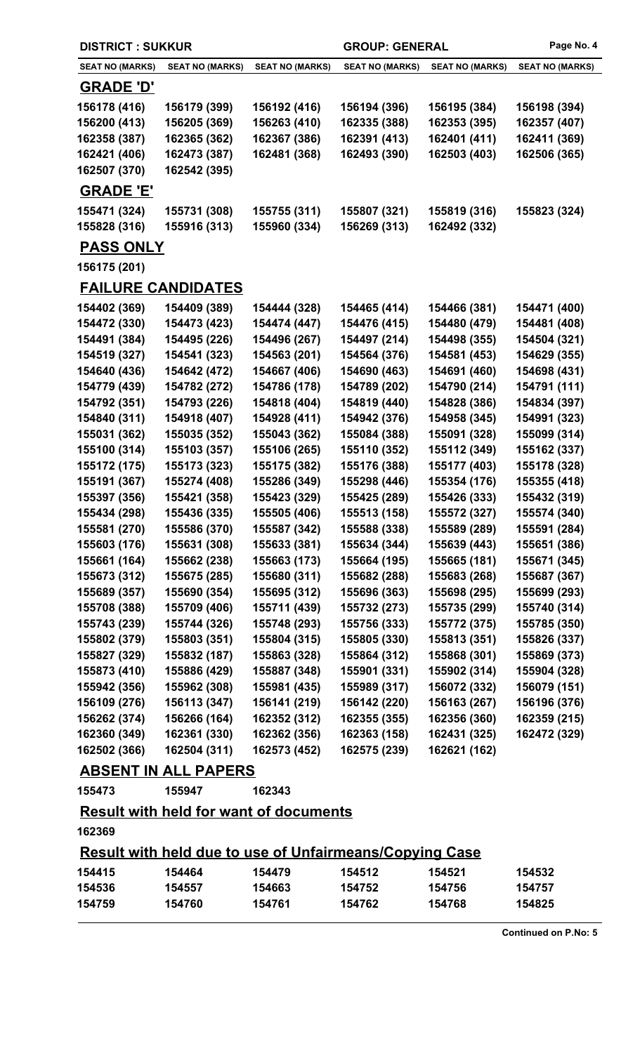| <b>DISTRICT: SUKKUR</b>                                        |                           | <b>GROUP: GENERAL</b>  |                        | Page No. 4             |                        |  |
|----------------------------------------------------------------|---------------------------|------------------------|------------------------|------------------------|------------------------|--|
| <b>SEAT NO (MARKS)</b>                                         | <b>SEAT NO (MARKS)</b>    | <b>SEAT NO (MARKS)</b> | <b>SEAT NO (MARKS)</b> | <b>SEAT NO (MARKS)</b> | <b>SEAT NO (MARKS)</b> |  |
| <u>GRADE 'D'</u>                                               |                           |                        |                        |                        |                        |  |
| 156178 (416)                                                   | 156179 (399)              | 156192 (416)           | 156194 (396)           | 156195 (384)           | 156198 (394)           |  |
| 156200 (413)                                                   | 156205 (369)              | 156263 (410)           | 162335 (388)           | 162353 (395)           | 162357 (407)           |  |
| 162358 (387)                                                   | 162365 (362)              | 162367 (386)           | 162391 (413)           | 162401 (411)           | 162411 (369)           |  |
| 162421 (406)                                                   | 162473 (387)              | 162481 (368)           | 162493 (390)           | 162503 (403)           | 162506 (365)           |  |
| 162507 (370)                                                   | 162542 (395)              |                        |                        |                        |                        |  |
| <b>GRADE 'E'</b>                                               |                           |                        |                        |                        |                        |  |
| 155471 (324)                                                   | 155731 (308)              | 155755 (311)           | 155807 (321)           | 155819 (316)           | 155823 (324)           |  |
| 155828 (316)                                                   | 155916 (313)              | 155960 (334)           | 156269 (313)           | 162492 (332)           |                        |  |
| <b>PASS ONLY</b>                                               |                           |                        |                        |                        |                        |  |
| 156175 (201)                                                   |                           |                        |                        |                        |                        |  |
|                                                                | <b>FAILURE CANDIDATES</b> |                        |                        |                        |                        |  |
| 154402 (369)                                                   | 154409 (389)              | 154444 (328)           | 154465 (414)           | 154466 (381)           | 154471 (400)           |  |
| 154472 (330)                                                   | 154473 (423)              | 154474 (447)           | 154476 (415)           | 154480 (479)           | 154481 (408)           |  |
| 154491 (384)                                                   | 154495 (226)              | 154496 (267)           | 154497 (214)           | 154498 (355)           | 154504 (321)           |  |
| 154519 (327)                                                   | 154541 (323)              | 154563 (201)           | 154564 (376)           | 154581 (453)           | 154629 (355)           |  |
| 154640 (436)                                                   | 154642 (472)              | 154667 (406)           | 154690 (463)           | 154691 (460)           | 154698 (431)           |  |
| 154779 (439)                                                   | 154782 (272)              | 154786 (178)           | 154789 (202)           | 154790 (214)           | 154791 (111)           |  |
| 154792 (351)                                                   | 154793 (226)              | 154818 (404)           | 154819 (440)           | 154828 (386)           | 154834 (397)           |  |
| 154840 (311)                                                   | 154918 (407)              | 154928 (411)           | 154942 (376)           | 154958 (345)           | 154991 (323)           |  |
| 155031 (362)                                                   | 155035 (352)              | 155043 (362)           | 155084 (388)           | 155091 (328)           | 155099 (314)           |  |
| 155100 (314)                                                   | 155103 (357)              | 155106 (265)           | 155110 (352)           | 155112 (349)           | 155162 (337)           |  |
| 155172 (175)                                                   | 155173 (323)              | 155175 (382)           | 155176 (388)           | 155177 (403)           | 155178 (328)           |  |
| 155191 (367)                                                   | 155274 (408)              | 155286 (349)           | 155298 (446)           | 155354 (176)           | 155355 (418)           |  |
| 155397 (356)                                                   | 155421 (358)              | 155423 (329)           | 155425 (289)           | 155426 (333)           | 155432 (319)           |  |
| 155434 (298)                                                   | 155436 (335)              | 155505 (406)           | 155513 (158)           | 155572 (327)           | 155574 (340)           |  |
| 155581 (270)                                                   | 155586 (370)              | 155587 (342)           | 155588 (338)           | 155589 (289)           | 155591 (284)           |  |
| 155603 (176)                                                   | 155631 (308)              | 155633 (381)           | 155634 (344)           | 155639 (443)           | 155651 (386)           |  |
| 155661 (164)                                                   | 155662 (238)              | 155663 (173)           | 155664 (195)           | 155665 (181)           | 155671 (345)           |  |
| 155673 (312)                                                   | 155675 (285)              | 155680 (311)           | 155682 (288)           | 155683 (268)           | 155687 (367)           |  |
| 155689 (357)                                                   | 155690 (354)              | 155695 (312)           | 155696 (363)           | 155698 (295)           | 155699 (293)           |  |
| 155708 (388)                                                   | 155709 (406)              | 155711 (439)           | 155732 (273)           | 155735 (299)           | 155740 (314)           |  |
| 155743 (239)                                                   | 155744 (326)              | 155748 (293)           | 155756 (333)           | 155772 (375)           | 155785 (350)           |  |
| 155802 (379)                                                   | 155803 (351)              | 155804 (315)           | 155805 (330)           | 155813 (351)           | 155826 (337)           |  |
| 155827 (329)                                                   | 155832 (187)              | 155863 (328)           | 155864 (312)           | 155868 (301)           | 155869 (373)           |  |
| 155873 (410)                                                   | 155886 (429)              | 155887 (348)           | 155901 (331)           | 155902 (314)           | 155904 (328)           |  |
| 155942 (356)                                                   | 155962 (308)              | 155981 (435)           | 155989 (317)           | 156072 (332)           | 156079 (151)           |  |
| 156109 (276)                                                   | 156113 (347)              | 156141 (219)           | 156142 (220)           | 156163 (267)           | 156196 (376)           |  |
| 156262 (374)                                                   | 156266 (164)              | 162352 (312)           | 162355 (355)           | 162356 (360)           | 162359 (215)           |  |
| 162360 (349)                                                   | 162361 (330)              | 162362 (356)           | 162363 (158)           | 162431 (325)           | 162472 (329)           |  |
| 162502 (366)                                                   | 162504 (311)              | 162573 (452)           | 162575 (239)           | 162621 (162)           |                        |  |
| <b>ABSENT IN ALL PAPERS</b>                                    |                           |                        |                        |                        |                        |  |
| 155473                                                         | 155947                    | 162343                 |                        |                        |                        |  |
| <b>Result with held for want of documents</b>                  |                           |                        |                        |                        |                        |  |
| 162369                                                         |                           |                        |                        |                        |                        |  |
| <u>Result with held due to use of Unfairmeans/Copying Case</u> |                           |                        |                        |                        |                        |  |
| 154415                                                         | 154464                    | 154479                 | 154512                 | 154521                 | 154532                 |  |
| 154536                                                         | 154557                    | 154663                 | 154752                 | 154756                 | 154757                 |  |

**154759 154760 154761 154762 154768 154825**